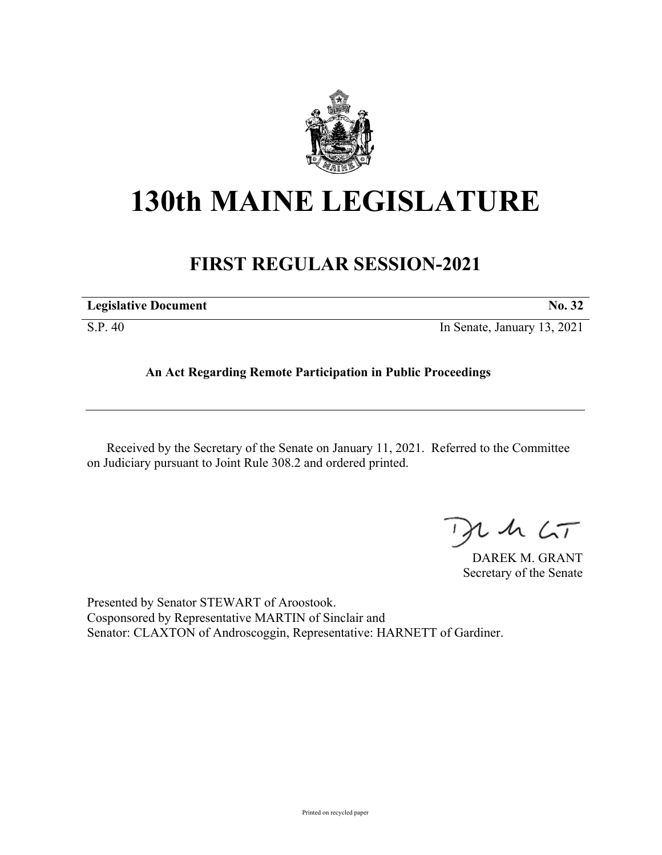

## **130th MAINE LEGISLATURE**

## **FIRST REGULAR SESSION-2021**

| <b>Legislative Document</b> | No. 32                      |
|-----------------------------|-----------------------------|
| S.P. 40                     | In Senate, January 13, 2021 |

**An Act Regarding Remote Participation in Public Proceedings**

Received by the Secretary of the Senate on January 11, 2021. Referred to the Committee on Judiciary pursuant to Joint Rule 308.2 and ordered printed.

 $42.67$ 

DAREK M. GRANT Secretary of the Senate

Presented by Senator STEWART of Aroostook. Cosponsored by Representative MARTIN of Sinclair and Senator: CLAXTON of Androscoggin, Representative: HARNETT of Gardiner.